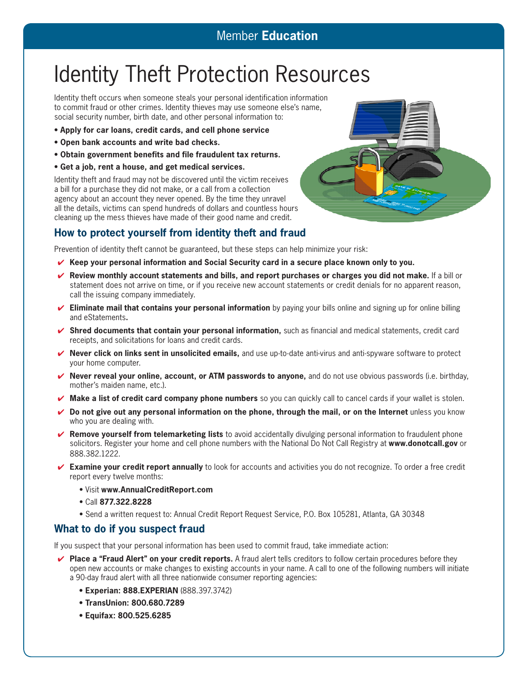## Identity Theft Protection Resources

Identity theft occurs when someone steals your personal identification information to commit fraud or other crimes. Identity thieves may use someone else's name, social security number, birth date, and other personal information to:

- **• Apply for car loans, credit cards, and cell phone service**
- **• Open bank accounts and write bad checks.**
- **• Obtain government benefits and file fraudulent tax returns.**
- **• Get a job, rent a house, and get medical services.**

Identity theft and fraud may not be discovered until the victim receives a bill for a purchase they did not make, or a call from a collection agency about an account they never opened. By the time they unravel all the details, victims can spend hundreds of dollars and countless hours cleaning up the mess thieves have made of their good name and credit.

## **How to protect yourself from identity theft and fraud**

Prevention of identity theft cannot be guaranteed, but these steps can help minimize your risk:

- ✔ **Keep your personal information and Social Security card in a secure place known only to you.**
- ✔ **Review monthly account statements and bills, and report purchases or charges you did not make.** If a bill or statement does not arrive on time, or if you receive new account statements or credit denials for no apparent reason, call the issuing company immediately.
- ✔ **Eliminate mail that contains your personal information** by paying your bills online and signing up for online billing and eStatements**.**
- ✔ **Shred documents that contain your personal information,** such as financial and medical statements, credit card receipts, and solicitations for loans and credit cards.
- ✔ **Never click on links sent in unsolicited emails,** and use up-to-date anti-virus and anti-spyware software to protect your home computer.
- ✔ **Never reveal your online, account, or ATM passwords to anyone,** and do not use obvious passwords (i.e. birthday, mother's maiden name, etc.).
- ✔ **Make a list of credit card company phone numbers** so you can quickly call to cancel cards if your wallet is stolen.
- ✔ **Do not give out any personal information on the phone, through the mail, or on the Internet** unless you know who you are dealing with.
- ✔ **Remove yourself from telemarketing lists** to avoid accidentally divulging personal information to fraudulent phone solicitors. Register your home and cell phone numbers with the National Do Not Call Registry at **www.donotcall.gov** or 888.382.1222.
- ✔ **Examine your credit report annually** to look for accounts and activities you do not recognize. To order a free credit report every twelve months:
	- • Visit **www.AnnualCreditReport.com**
	- • Call **877.322.8228**
	- • Send a written request to: Annual Credit Report Request Service, P.O. Box 105281, Atlanta, GA 30348

## **What to do if you suspect fraud**

If you suspect that your personal information has been used to commit fraud, take immediate action:

- ✔ **Place a "Fraud Alert" on your credit reports.** A fraud alert tells creditors to follow certain procedures before they open new accounts or make changes to existing accounts in your name. A call to one of the following numbers will initiate a 90-day fraud alert with all three nationwide consumer reporting agencies:
	- **• Experian: 888.EXPERIAN** (888.397.3742)
	- **• TransUnion: 800.680.7289**
	- **• Equifax: 800.525.6285**